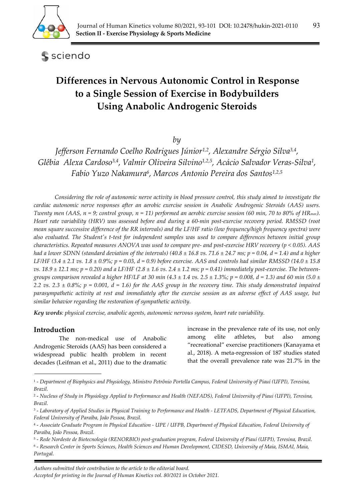

sciendo

# **Differences in Nervous Autonomic Control in Response to a Single Session of Exercise in Bodybuilders Using Anabolic Androgenic Steroids**

*by* 

*Jefferson Fernando Coelho Rodrigues Júnior1,2, Alexandre Sérgio Silva3,4, Glêbia Alexa Cardoso3,4, Valmir Oliveira Silvino1,2,5, Acácio Salvador Veras-Silva1, Fabio Yuzo Nakamura6, Marcos Antonio Pereira dos Santos1,2,5*

*Considering the role of autonomic nerve activity in blood pressure control, this study aimed to investigate the cardiac autonomic nerve responses after an aerobic exercise session in Anabolic Androgenic Steroids (AAS) users. Twenty men (AAS, n = 9; control group, n = 11) performed an aerobic exercise session (60 min, 70 to 80% of HRmax). Heart rate variability (HRV) was assessed before and during a 60-min post-exercise recovery period. RMSSD (root mean square successive difference of the RR intervals) and the LF/HF ratio (low frequency/high frequency spectra) were also evaluated. The Student's t-test for independent samples was used to compare differences between initial group characteristics. Repeated measures ANOVA was used to compare pre- and post-exercise HRV recovery (p < 0.05). AAS had a lower SDNN (standard deviation of the intervals) (40.8*  $\pm$  *16.8 vs. 71.6*  $\pm$  *24.7 ms; p = 0.04, d = 1.4) and a higher LF/HF (3.4 ± 2.1 vs. 1.8 ± 0.9%; p = 0.03, d = 0.9) before exercise. AAS and controls had similar RMSSD (14.0 ± 15.8 vs. 18.9 ± 12.1 ms; p = 0.20) and a LF/HF (2.8 ± 1.6 vs. 2.4 ± 1.2 ms; p = 0.41) immediately post-exercise. The betweengroups comparison revealed a higher HF/LF at 30 min (4.3*  $\pm$  *1.4 vs. 2.5*  $\pm$  *1.3%; p = 0.008, d = 1.3) and 60 min (5.0*  $\pm$ 2.2 vs. 2.3  $\pm$  0.8%; p = 0.001, d = 1.6) for the AAS group in the recovery time. This study demonstrated impaired *parasympathetic activity at rest and immediately after the exercise session as an adverse effect of AAS usage, but similar behavior regarding the restoration of sympathetic activity.* 

*Key words: physical exercise, anabolic agents, autonomic nervous system, heart rate variability.* 

# **Introduction**

The non-medical use of Anabolic Androgenic Steroids (AAS) has been considered a widespread public health problem in recent decades (Leifman et al., 2011) due to the dramatic increase in the prevalence rate of its use, not only among elite athletes, but also among "recreational" exercise practitioners (Kanayama et al., 2018). A meta-regression of 187 studies stated that the overall prevalence rate was 21.7% in the

<sup>1 -</sup> *Department of Biophysics and Physiology, Ministro Petrônio Portella Campus, Federal University of Piauí (UFPI), Teresina, Brazil.* 

<sup>2 -</sup> *Nucleus of Study in Physiology Applied to Performance and Health (NEFADS), Federal University of Piaui (UFPI), Teresina, Brazil.* 

<sup>3 -</sup> *Laboratory of Applied Studies in Physical Training to Performance and Health - LETFADS, Department of Physical Education, Federal University of Paraíba, João Pessoa, Brazil.* 

<sup>4 -</sup> *Associate Graduate Program in Physical Education - UPE / UFPB, Department of Physical Education, Federal University of Paraíba, João Pessoa, Brazil.* 

<sup>5 -</sup> *Rede Nordeste de Biotecnologia (RENORBIO) post-graduation program, Federal University of Piauí (UFPI), Teresina, Brazil.* 

<sup>6 -</sup> *Research Center in Sports Sciences, Health Sciences and Human Development, CIDESD, University of Maia, ISMAI, Maia, Portugal.*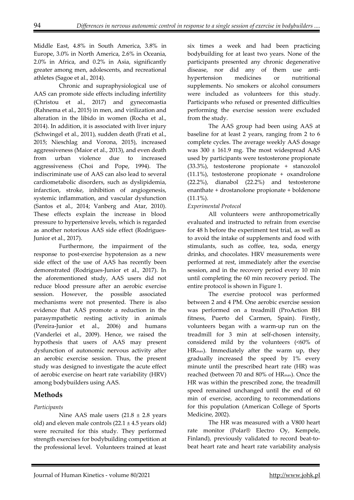Middle East, 4.8% in South America, 3.8% in Europe, 3.0% in North America, 2.6% in Oceania, 2.0% in Africa, and 0.2% in Asia, significantly greater among men, adolescents, and recreational athletes (Sagoe et al., 2014).

Chronic and supraphysiological use of AAS can promote side effects including infertility (Christou et al., 2017) and gynecomastia (Rahnema et al., 2015) in men, and virilization and alteration in the libido in women (Rocha et al., 2014). In addition, it is associated with liver injury (Schwingel et al., 2011), sudden death (Frati et al., 2015; Nieschlag and Vorona, 2015), increased aggressiveness (Maior et al., 2013), and even death from urban violence due to increased aggressiveness (Choi and Pope, 1994). The indiscriminate use of AAS can also lead to several cardiometabolic disorders, such as dyslipidemia, infarction, stroke, inhibition of angiogenesis, systemic inflammation, and vascular dysfunction (Santos et al., 2014; Vanberg and Atar, 2010). These effects explain the increase in blood pressure to hypertensive levels, which is regarded as another notorious AAS side effect (Rodrigues-Junior et al., 2017).

Furthermore, the impairment of the response to post-exercise hypotension as a new side effect of the use of AAS has recently been demonstrated (Rodrigues-Junior et al., 2017). In the aforementioned study, AAS users did not reduce blood pressure after an aerobic exercise session. However, the possible associated mechanisms were not presented. There is also evidence that AAS promote a reduction in the parasympathetic resting activity in animals (Pereira-Junior et al., 2006) and humans (Vanderlei et al., 2009). Hence, we raised the hypothesis that users of AAS may present dysfunction of autonomic nervous activity after an aerobic exercise session. Thus, the present study was designed to investigate the acute effect of aerobic exercise on heart rate variability (HRV) among bodybuilders using AAS.

# **Methods**

# *Participants*

Nine AAS male users  $(21.8 \pm 2.8 \text{ years})$ old) and eleven male controls  $(22.1 \pm 4.5$  years old) were recruited for this study. They performed strength exercises for bodybuilding competition at the professional level. Volunteers trained at least

six times a week and had been practicing bodybuilding for at least two years. None of the participants presented any chronic degenerative disease, nor did any of them use antihypertension medicines or nutritional supplements. No smokers or alcohol consumers were included as volunteers for this study. Participants who refused or presented difficulties performing the exercise session were excluded from the study.

The AAS group had been using AAS at baseline for at least 2 years, ranging from 2 to 6 complete cycles. The average weekly AAS dosage was 300 ± 161.9 mg. The most widespread AAS used by participants were testosterone propionate (33.3%), testosterone propionate + stanozolol (11.1%), testosterone propionate + oxandrolone (22.2%), dianabol (22.2%) and testosterone enanthate + drostanolone propionate + boldenone  $(11.1\%).$ 

# *Experimental Protocol*

All volunteers were anthropometrically evaluated and instructed to refrain from exercise for 48 h before the experiment test trial, as well as to avoid the intake of supplements and food with stimulants, such as coffee, tea, soda, energy drinks, and chocolates. HRV measurements were performed at rest, immediately after the exercise session, and in the recovery period every 10 min until completing the 60 min recovery period. The entire protocol is shown in Figure 1.

The exercise protocol was performed between 2 and 4 PM. One aerobic exercise session was performed on a treadmill (ProAction BH fitness, Puerto del Carmen, Spain). Firstly, volunteers began with a warm-up run on the treadmill for 3 min at self-chosen intensity, considered mild by the volunteers (<60% of HRmax). Immediately after the warm up, they gradually increased the speed by 1% every minute until the prescribed heart rate (HR) was reached (between 70 and 80% of HRmax). Once the HR was within the prescribed zone, the treadmill speed remained unchanged until the end of 60 min of exercise, according to recommendations for this population (American College of Sports Medicine, 2002).

The HR was measured with a V800 heart rate monitor (Polar® Electro Oy, Kempele, Finland), previously validated to record beat-tobeat heart rate and heart rate variability analysis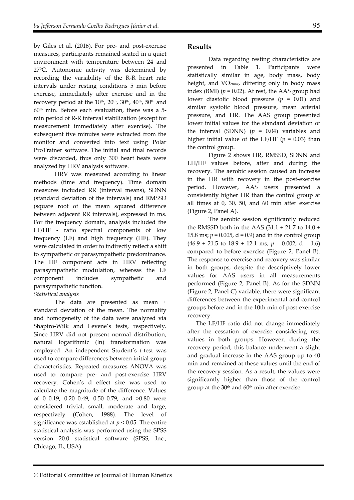by Giles et al. (2016). For pre- and post-exercise measures, participants remained seated in a quiet environment with temperature between 24 and 27ºC. Autonomic activity was determined by recording the variability of the R-R heart rate intervals under resting conditions 5 min before exercise, immediately after exercise and in the recovery period at the  $10^{th}$ ,  $20^{th}$ ,  $30^{th}$ ,  $40^{th}$ ,  $50^{th}$  and  $60<sup>th</sup>$  min. Before each evaluation, there was a 5min period of R-R interval stabilization (except for measurement immediately after exercise). The subsequent five minutes were extracted from the monitor and converted into text using Polar ProTrainer software. The initial and final records were discarded, thus only 300 heart beats were analyzed by HRV analysis software.

HRV was measured according to linear methods (time and frequency). Time domain measures included RR (interval means), SDNN (standard deviation of the intervals) and RMSSD (square root of the mean squared difference between adjacent RR intervals), expressed in ms. For the frequency domain, analysis included the LF/HF - ratio spectral components of low frequency (LF) and high frequency (HF). They were calculated in order to indirectly reflect a shift to sympathetic or parasympathetic predominance. The HF component acts in HRV reflecting parasympathetic modulation, whereas the LF component includes sympathetic and parasympathetic function.

## *Statistical analysis*

The data are presented as mean ± standard deviation of the mean. The normality and homogeneity of the data were analyzed via Shapiro-Wilk and Levene's tests, respectively. Since HRV did not present normal distribution, natural logarithmic (ln) transformation was employed. An independent Student's *t*-test was used to compare differences between initial group characteristics. Repeated measures ANOVA was used to compare pre- and post-exercise HRV recovery. Cohen's d effect size was used to calculate the magnitude of the difference. Values of 0–0.19, 0.20–0.49, 0.50–0.79, and >0.80 were considered trivial, small, moderate and large, respectively (Cohen, 1988). The level of significance was established at  $p < 0.05$ . The entire statistical analysis was performed using the SPSS version 20.0 statistical software (SPSS, Inc., Chicago, IL, USA).

# **Results**

Data regarding resting characteristics are presented in Table 1. Participants were statistically similar in age, body mass, body height, and VO2max, differing only in body mass index (BMI)  $(p = 0.02)$ . At rest, the AAS group had lower diastolic blood pressure (*p* = 0.01) and similar systolic blood pressure, mean arterial pressure, and HR. The AAS group presented lower initial values for the standard deviation of the interval (SDNN)  $(p = 0.04)$  variables and higher initial value of the LF/HF  $(p = 0.03)$  than the control group.

Figure 2 shows HR, RMSSD, SDNN and LH/HF values before, after and during the recovery. The aerobic session caused an increase in the HR with recovery in the post-exercise period. However, AAS users presented a consistently higher HR than the control group at all times at 0, 30, 50, and 60 min after exercise (Figure 2, Panel A).

The aerobic session significantly reduced the RMSSD both in the AAS (31.1  $\pm$  21.7 to 14.0  $\pm$ 15.8 ms;  $p = 0.005$ ,  $d = 0.9$ ) and in the control group  $(46.9 \pm 21.5 \text{ to } 18.9 \pm 12.1 \text{ ms}; p = 0.002, d = 1.6)$ compared to before exercise (Figure 2, Panel B). The response to exercise and recovery was similar in both groups, despite the descriptively lower values for AAS users in all measurements performed (Figure 2, Panel B). As for the SDNN (Figure 2, Panel C) variable, there were significant differences between the experimental and control groups before and in the 10th min of post-exercise recovery.

The LF/HF ratio did not change immediately after the cessation of exercise considering rest values in both groups. However, during the recovery period, this balance underwent a slight and gradual increase in the AAS group up to 40 min and remained at these values until the end of the recovery session. As a result, the values were significantly higher than those of the control group at the 30<sup>th</sup> and 60<sup>th</sup> min after exercise.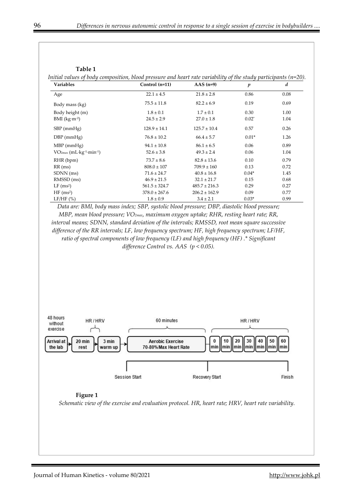| Initial values of body composition, blood pressure and heart rate variability of the study participants ( $n=20$ ). |  |  |  |
|---------------------------------------------------------------------------------------------------------------------|--|--|--|
|                                                                                                                     |  |  |  |

| <b>Variables</b>                                   | Control (n=11)    | AAS $(n=9)$       | $\boldsymbol{p}$ | d    |
|----------------------------------------------------|-------------------|-------------------|------------------|------|
| Age                                                | $22.1 \pm 4.5$    | $21.8 \pm 2.8$    | 0.86             | 0.08 |
| Body mass (kg)                                     | $75.5 \pm 11.8$   | $82.2 \pm 6.9$    | 0.19             | 0.69 |
| Body height (m)                                    | $1.8 \pm 0.1$     | $1.7 \pm 0.1$     | 0.30             | 1.00 |
| $BMI$ (kg·m <sup>-2</sup> )                        | $24.5 \pm 2.9$    | $27.0 \pm 1.8$    | $0.02*$          | 1.04 |
| $SBP$ (mmHg)                                       | $128.9 \pm 14.1$  | $125.7 \pm 10.4$  | 0.57             | 0.26 |
| $DBP$ (mmHg)                                       | $76.8 \pm 10.2$   | $66.4 \pm 5.7$    | $0.01*$          | 1.26 |
| $MBP$ (mmHg)                                       | $94.1 \pm 10.8$   | $86.1 \pm 6.5$    | 0.06             | 0.89 |
| $VO2max$ (mL·kg <sup>-1</sup> ·min <sup>-1</sup> ) | $52.6 \pm 3.8$    | $49.3 \pm 2.4$    | 0.06             | 1.04 |
| RHR (bpm)                                          | $73.7 \pm 8.6$    | $82.8 \pm 13.6$   | 0.10             | 0.79 |
| $RR$ (ms)                                          | $808.0 \pm 107$   | $709.9 \pm 160$   | 0.13             | 0.72 |
| SDNN (ms)                                          | $71.6 \pm 24.7$   | $40.8 \pm 16.8$   | $0.04*$          | 1.45 |
| RMSSD (ms)                                         | $46.9 \pm 21.5$   | $32.1 \pm 21.7$   | 0.15             | 0.68 |
| $LF$ (ms <sup>2</sup> )                            | $561.5 \pm 324.7$ | $485.7 \pm 216.3$ | 0.29             | 0.27 |
| HF(ms <sup>2</sup> )                               | $378.0 \pm 267.6$ | $206.2 \pm 162.9$ | 0.09             | 0.77 |
| LF/HF(%)                                           | $1.8 \pm 0.9$     | $3.4 \pm 2.1$     | $0.03*$          | 0.99 |

*Data are: BMI, body mass index; SBP, systolic blood pressure; DBP, diastolic blood pressure; MBP, mean blood pressure; VO2max, maximum oxygen uptake; RHR, resting heart rate; RR, interval means; SDNN, standard deviation of the intervals; RMSSD, root mean square successive difference of the RR intervals; LF, low frequency spectrum; HF, high frequency spectrum; LF/HF, ratio of spectral components of low frequency (LF) and high frequency (HF) .\* Significant difference Control vs. AAS (p < 0.05).* 



#### **Figure 1**

*Schematic view of the exercise and evaluation protocol. HR, heart rate; HRV, heart rate variability.*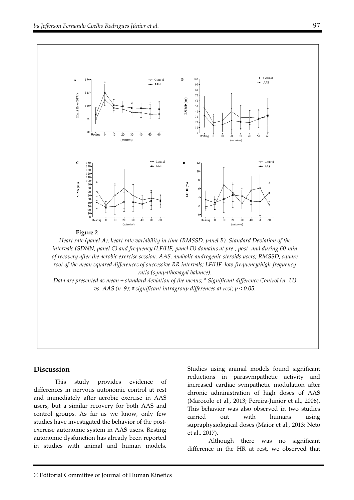

*intervals (SDNN, panel C) and frequency (LF/HF, panel D) domains at pre-, post- and during 60-min of recovery after the aerobic exercise session. AAS, anabolic androgenic steroids users; RMSSD, square root of the mean squared differences of successive RR intervals; LF/HF, low-frequency/high-frequency ratio (sympathovagal balance).* 

*Data are presented as mean ± standard deviation of the means; \* Significant difference Control (n=11) vs. AAS (n=9); # significant intragroup differences at rest; p < 0.05.* 

## **Discussion**

This study provides evidence of differences in nervous autonomic control at rest and immediately after aerobic exercise in AAS users, but a similar recovery for both AAS and control groups. As far as we know, only few studies have investigated the behavior of the postexercise autonomic system in AAS users. Resting autonomic dysfunction has already been reported in studies with animal and human models.

Studies using animal models found significant reductions in parasympathetic activity and increased cardiac sympathetic modulation after chronic administration of high doses of AAS (Marocolo et al., 2013; Pereira-Junior et al., 2006). This behavior was also observed in two studies carried out with humans using supraphysiological doses (Maior et al., 2013; Neto et al., 2017).

Although there was no significant difference in the HR at rest, we observed that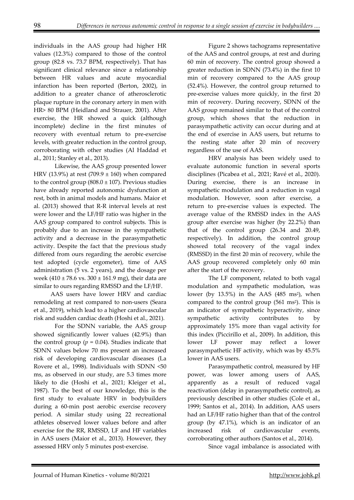individuals in the AAS group had higher HR values (12.3%) compared to those of the control group (82.8 vs. 73.7 BPM, respectively). That has significant clinical relevance since a relationship between HR values and acute myocardial infarction has been reported (Berton, 2002), in addition to a greater chance of atherosclerotic plaque rupture in the coronary artery in men with HR> 80 BPM (Heidland and Strauer, 2001). After exercise, the HR showed a quick (although incomplete) decline in the first minutes of recovery with eventual return to pre-exercise levels, with greater reduction in the control group, corroborating with other studies (Al Haddad et al., 2011; Stanley et al., 2013).

Likewise, the AAS group presented lower HRV (13.9%) at rest (709.9  $\pm$  160) when compared to the control group ( $808.0 \pm 107$ ). Previous studies have already reported autonomic dysfunction at rest, both in animal models and humans. Maior et al. (2013) showed that R-R interval levels at rest were lower and the LF/HF ratio was higher in the AAS group compared to control subjects. This is probably due to an increase in the sympathetic activity and a decrease in the parasympathetic activity. Despite the fact that the previous study differed from ours regarding the aerobic exercise test adopted (cycle ergometer), time of AAS administration (5 vs. 2 years), and the dosage per week (410  $\pm$  78.6 vs. 300  $\pm$  161.9 mg), their data are similar to ours regarding RMSSD and the LF/HF.

AAS users have lower HRV and cardiac remodeling at rest compared to non-users (Seara et al., 2019), which lead to a higher cardiovascular risk and sudden cardiac death (Hoshi et al., 2021).

For the SDNN variable, the AAS group showed significantly lower values (42.9%) than the control group ( $p = 0.04$ ). Studies indicate that SDNN values below 70 ms present an increased risk of developing cardiovascular diseases (La Rovere et al., 1998). Individuals with SDNN <50 ms, as observed in our study, are 5.3 times more likely to die (Hoshi et al., 2021; Kleiger et al., 1987). To the best of our knowledge, this is the first study to evaluate HRV in bodybuilders during a 60-min post aerobic exercise recovery period. A similar study using 22 recreational athletes observed lower values before and after exercise for the RR, RMSSD, LF and HF variables in AAS users (Maior et al., 2013). However, they assessed HRV only 5 minutes post-exercise.

Figure 2 shows tachograms representative of the AAS and control groups, at rest and during 60 min of recovery. The control group showed a greater reduction in SDNN (73.4%) in the first 10 min of recovery compared to the AAS group (52.4%). However, the control group returned to pre-exercise values more quickly, in the first 20 min of recovery. During recovery, SDNN of the AAS group remained similar to that of the control group, which shows that the reduction in parasympathetic activity can occur during and at the end of exercise in AAS users, but returns to the resting state after 20 min of recovery regardless of the use of AAS.

HRV analysis has been widely used to evaluate autonomic function in several sports disciplines (Picabea et al., 2021; Ravé et al., 2020). During exercise, there is an increase in sympathetic modulation and a reduction in vagal modulation. However, soon after exercise, a return to pre-exercise values is expected. The average value of the RMSSD index in the AAS group after exercise was higher (by 22.2%) than that of the control group (26.34 and 20.49, respectively). In addition, the control group showed total recovery of the vagal index (RMSSD) in the first 20 min of recovery, while the AAS group recovered completely only 60 min after the start of the recovery.

The LF component, related to both vagal modulation and sympathetic modulation, was lower (by  $13.5\%$ ) in the AAS (485 ms<sup>2</sup>), when compared to the control group  $(561 \text{ ms}^2)$ . This is an indicator of sympathetic hyperactivity, since sympathetic activity contributes to by approximately 15% more than vagal activity for this index (Piccirillo et al., 2009). In addition, this lower LF power may reflect a lower parasympathetic HF activity, which was by 45.5% lower in AAS users.

Parasympathetic control, measured by HF power, was lower among users of AAS, apparently as a result of reduced vagal reactivation (delay in parasympathetic control), as previously described in other studies (Cole et al., 1999; Santos et al., 2014). In addition, AAS users had an LF/HF ratio higher than that of the control group (by 47.1%), which is an indicator of an increased risk of cardiovascular events, corroborating other authors (Santos et al., 2014).

Since vagal imbalance is associated with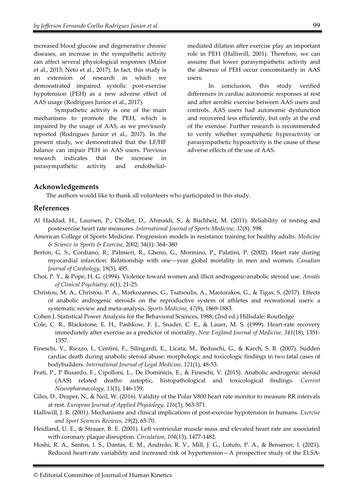increased blood glucose and degenerative chronic diseases, an increase in the sympathetic activity can affect several physiological responses (Maior et al., 2013; Neto et al., 2017). In fact, this study is an extension of research in which we demonstrated impaired systolic post-exercise hypotension (PEH) as a new adverse effect of AAS usage (Rodrigues Junior et al., 2017).

Sympathetic activity is one of the main mechanisms to promote the PEH, which is impaired by the usage of AAS, as we previously reported (Rodrigues Junior et al., 2017). In the present study, we demonstrated that the LF/HF balance can impair PEH in AAS users. Previous research indicates that the increase in parasympathetic activity and endothelialmediated dilation after exercise play an important role in PEH (Halliwill, 2001). Therefore, we can assume that lower parasympathetic activity and the absence of PEH occur concomitantly in AAS users.

In conclusion, this study verified differences in cardiac autonomic responses at rest and after aerobic exercise between AAS users and controls. AAS users had autonomic dysfunction and recovered less efficiently, but only at the end of the exercise. Further research is recommended to verify whether sympathetic hyperactivity or parasympathetic hypoactivity is the cause of these adverse effects of the use of AAS.

## **Acknowledgements**

The authors would like to thank all volunteers who participated in this study.

## **References**

- Al Haddad, H., Laursen, P., Chollet, D., Ahmaidi, S., & Buchheit, M. (2011). Reliability of resting and postexercise heart rate measures. *International Journal of Sports Medicine, 32*(8), 598.
- American College of Sports Medicine. Progression models in resistance training for healthy adults. *Medicine & Science in Sports & Exercise*, 2002; 34(1): 364–380
- Berton, G. S., Cordiano, R., Palmieri, R., Gheno, G., Mormino, P., Palatini, P. (2002). Heart rate during myocardial infarction: Relationship with one—year global mortality in men and women. *Canadian Journal of Cardiology*, 18(5), 495.
- Choi, P. Y., & Pope, H. G. (1994). Violence toward women and illicit androgenic-anabolic steroid use. *Annals of Clinical Psychiatry, 6*(1), 21-25.
- Christou, M. A., Christou, P. A., Markozannes, G., Tsatsoulis, A., Mastorakos, G., & Tigas, S. (2017). Effects of anabolic androgenic steroids on the reproductive system of athletes and recreational users: a systematic review and meta-analysis. *Sports Medicine*, *47*(9), 1869-1883.
- Cohen J. Statistical Power Analysis for the Behavioral Sciences, 1988; (2nd ed.) Hillsdale: Routledge
- Cole, C. R., Blackstone, E. H., Pashkow, F. J., Snader, C. E., & Lauer, M. S. (1999). Heart-rate recovery immediately after exercise as a predictor of mortality. *New England Journal of Medicine, 341*(18), 1351- 1357.
- Fineschi, V., Riezzo, I., Centini, F., Silingardi, E., Licata, M., Beduschi, G., & Karch, S. B. (2007). Sudden cardiac death during anabolic steroid abuse: morphologic and toxicologic findings in two fatal cases of bodybuilders. *International Journal of Legal Medicine, 121*(1), 48-53.
- Frati, P., P Busardo, F., Cipolloni, L., De Dominicis, E., & Fineschi, V. (2015). Anabolic androgenic steroid (AAS) related deaths: autoptic, histopathological and toxicological findings. *Current Neuropharmacology, 13*(1), 146-159.
- Giles, D., Draper, N., & Neil, W. (2016). Validity of the Polar V800 heart rate monitor to measure RR intervals at rest. *European Journal of Applied Physiology, 116*(3), 563-571.
- Halliwill, J. R. (2001). Mechanisms and clinical implications of post-exercise hypotension in humans. *Exercise and Sport Sciences Reviews, 29*(2), 65-70.
- Heidland, U. E., & Strauer, B. E. (2001). Left ventricular muscle mass and elevated heart rate are associated with coronary plaque disruption. *Circulation*, *104*(13), 1477-1482.
- Hoshi, R. A., Santos, I. S., Dantas, E. M., Andreão, R. V., Mill, J. G., Lotufo, P. A., & Bensenor, I. (2021). Reduced heart-rate variability and increased risk of hypertension—A prospective study of the ELSA-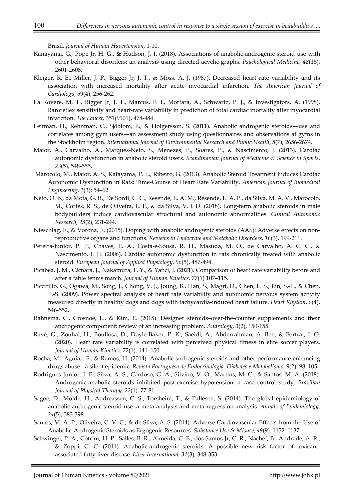Brasil. *Journal of Human Hypertension*, 1-10.

- Kanayama, G., Pope Jr, H. G., & Hudson, J. I. (2018). Associations of anabolic-androgenic steroid use with other behavioral disorders: an analysis using directed acyclic graphs. *Psychological Medicine, 48*(15), 2601-2608.
- Kleiger, R. E., Miller, J. P., Bigger Jr, J. T., & Moss, A. J. (1987). Decreased heart rate variability and its association with increased mortality after acute myocardial infarction. *The American Journal of Cardiology*, 59(4), 256-262.
- La Rovere, M. T., Bigger Jr, J. T., Marcus, F. I., Mortara, A., Schwartz, P. J., & Investigators, A. (1998). Baroreflex sensitivity and heart-rate variability in prediction of total cardiac mortality after myocardial infarction. *The Lancet*, 351(9101), 478-484.
- Leifman, H., Rehnman, C., Sjöblom, E., & Holgersson, S. (2011). Anabolic androgenic steroids—use and correlates among gym users—an assessment study using questionnaires and observations at gyms in the Stockholm region. *International Journal of Environmental Research and Public Health*, *8*(7), 2656-2674.
- Maior, A., Carvalho, A., Marques-Neto, S., Menezes, P., Soares, P., & Nascimento, J. (2013). Cardiac autonomic dysfunction in anabolic steroid users. *Scandinavian Journal of Medicine & Science in Sports, 23*(5), 548-555.
- Marocolo, M., Maior, A. S., Katayama, P. L., Ribeiro, G. (2013). Anabolic Steroid Treatment Induces Cardiac Autonomic Dysfunction in Rats: Time-Course of Heart Rate Variability. *American Journal of Biomedical Engineering,* 3(3): 54–62
- Neto, O. B., da Mota, G. R., De Sordi, C. C., Resende, E. A. M., Resende, L. A. P., da Silva, M. A. V., Marocolo, M., Côrtes, R. S., de Oliveira, L. F., & da Silva, V. J. D. (2018). Long-term anabolic steroids in male bodybuilders induce cardiovascular structural and autonomic abnormalities. *Clinical Autonomic Research, 28*(2), 231-244.
- Nieschlag, E., & Vorona, E. (2015). Doping with anabolic androgenic steroids (AAS): Adverse effects on nonreproductive organs and functions. *Reviews in Endocrine and Metabolic Disorders, 16*(3), 199-211.
- Pereira-Junior, P. P., Chaves, E. A., Costa-e-Sousa, R. H., Masuda, M. O., de Carvalho, A. C. C., & Nascimento, J. H. (2006). Cardiac autonomic dysfunction in rats chronically treated with anabolic steroid. *European Journal of Applied Physiology, 96*(5), 487-494.
- Picabea, J. M., Cámara, J., Nakamura, F. Y., & Yanci, J. (2021). Comparison of heart rate variability before and after a table tennis match. *Journal of Human Kinetics,* 77(1) 107–115.
- Piccirillo, G., Ogawa, M., Song, J., Chong, V. J., Joung, B., Han, S., Magrì, D., Chen, L. S., Lin, S.-F., & Chen, P.-S. (2009). Power spectral analysis of heart rate variability and autonomic nervous system activity measured directly in healthy dogs and dogs with tachycardia-induced heart failure. *Heart Rhythm*, 6(4), 546-552.
- Rahnema, C., Crosnoe, L., & Kim, E. (2015). Designer steroids–over-the-counter supplements and their androgenic component: review of an increasing problem. *Andrology, 3*(2), 150-155.
- Ravé, G., Zouhal, H., Boullosa, D., Doyle-Baker, P. K., Saeidi, A., Abderrahman, A. Ben, & Fortrat, J. O. (2020). Heart rate variability is correlated with perceived physical fitness in elite soccer players. *Journal of Human Kinetics,* 72(1), 141–150.
- Rocha, M., Aguiar, F., & Ramos, H. (2014). Anabolic sndrogenic steroids and other performance-enhancing drugs abuse - a silent epidemic. *Revista Portuguesa de Endocrinologia, Diabetes e Metabolismo*, 9(2): 98–105.
- Rodrigues Junior, J. F., Silva, A. S., Cardoso, G. A., Silvino, V. O., Martins, M. C., & Santos, M. A. (2018). Androgenic-anabolic steroids inhibited post-exercise hypotension: a case control study. *Brazilian Journal of Physical Therapy, 22*(1), 77-81.
- Sagoe, D., Molde, H., Andreassen, C. S., Torsheim, T., & Pallesen, S. (2014). The global epidemiology of anabolic-androgenic steroid use: a meta-analysis and meta-regression analysis. *Annals of Epidemiology*, *24*(5), 383-398.
- Santos, M. A. P., Oliveira, C. V. C., & de Silva, A. S. (2014). Adverse Cardiovascular Effects from the Use of Anabolic-Androgenic Steroids as Ergogenic Resources. *Substance Use & Misuse*, *49*(9): 1132–1137.
- Schwingel, P. A., Cotrim, H. P., Salles, B. R., Almeida, C. E., dos Santos Jr, C. R., Nachef, B., Andrade, A. R., & Zoppi, C. C. (2011). Anabolic-androgenic steroids: A possible new risk factor of toxicantassociated fatty liver disease. *Liver International, 31*(3), 348-353.